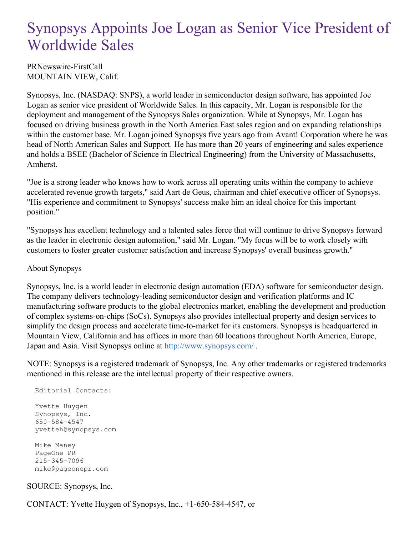## Synopsys Appoints Joe Logan as Senior Vice President of Worldwide Sales

PRNewswire-FirstCall MOUNTAIN VIEW, Calif.

Synopsys, Inc. (NASDAQ: SNPS), a world leader in semiconductor design software, has appointed Joe Logan as senior vice president of Worldwide Sales. In this capacity, Mr. Logan is responsible for the deployment and management of the Synopsys Sales organization. While at Synopsys, Mr. Logan has focused on driving business growth in the North America East sales region and on expanding relationships within the customer base. Mr. Logan joined Synopsys five years ago from Avant! Corporation where he was head of North American Sales and Support. He has more than 20 years of engineering and sales experience and holds a BSEE (Bachelor of Science in Electrical Engineering) from the University of Massachusetts, Amherst.

"Joe is a strong leader who knows how to work across all operating units within the company to achieve accelerated revenue growth targets," said Aart de Geus, chairman and chief executive officer of Synopsys. "His experience and commitment to Synopsys' success make him an ideal choice for this important position."

"Synopsys has excellent technology and a talented sales force that will continue to drive Synopsys forward as the leader in electronic design automation," said Mr. Logan. "My focus will be to work closely with customers to foster greater customer satisfaction and increase Synopsys' overall business growth."

## About Synopsys

Synopsys, Inc. is a world leader in electronic design automation (EDA) software for semiconductor design. The company delivers technology-leading semiconductor design and verification platforms and IC manufacturing software products to the global electronics market, enabling the development and production of complex systems-on-chips (SoCs). Synopsys also provides intellectual property and design services to simplify the design process and accelerate time-to-market for its customers. Synopsys is headquartered in Mountain View, California and has offices in more than 60 locations throughout North America, Europe, Japan and Asia. Visit Synopsys online at <http://www.synopsys.com/> .

NOTE: Synopsys is a registered trademark of Synopsys, Inc. Any other trademarks or registered trademarks mentioned in this release are the intellectual property of their respective owners.

Editorial Contacts: Yvette Huygen Synopsys, Inc. 650-584-4547 yvetteh@synopsys.com Mike Maney PageOne PR 215-345-7096 mike@pageonepr.com

## SOURCE: Synopsys, Inc.

CONTACT: Yvette Huygen of Synopsys, Inc., +1-650-584-4547, or